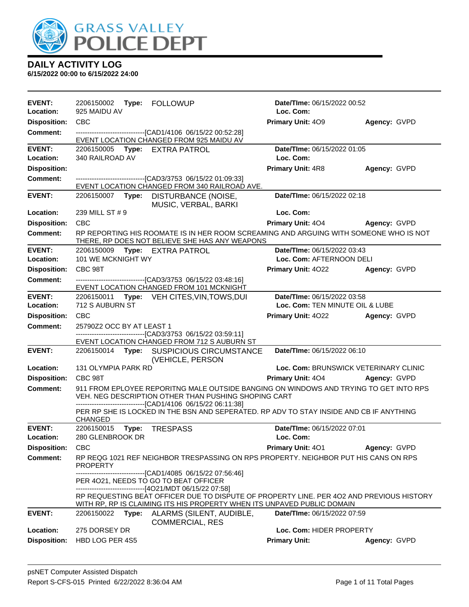

| EVENT:<br>Location:        | 2206150002 Type: FOLLOWUP<br>925 MAIDU AV                                                                                       |                                                                                                                                                                                                               | Date/TIme: 06/15/2022 00:52<br>Loc. Com: |              |
|----------------------------|---------------------------------------------------------------------------------------------------------------------------------|---------------------------------------------------------------------------------------------------------------------------------------------------------------------------------------------------------------|------------------------------------------|--------------|
| <b>Disposition:</b>        | <b>CBC</b>                                                                                                                      |                                                                                                                                                                                                               | Primary Unit: 409                        | Agency: GVPD |
| <b>Comment:</b>            |                                                                                                                                 | -------------------------------[CAD1/4106 06/15/22 00:52:28]<br>EVENT LOCATION CHANGED FROM 925 MAIDU AV                                                                                                      |                                          |              |
| <b>EVENT:</b><br>Location: | 2206150005 Type: EXTRA PATROL<br>340 RAILROAD AV                                                                                |                                                                                                                                                                                                               | Date/TIme: 06/15/2022 01:05<br>Loc. Com: |              |
| <b>Disposition:</b>        |                                                                                                                                 |                                                                                                                                                                                                               | <b>Primary Unit: 4R8</b>                 | Agency: GVPD |
| <b>Comment:</b>            |                                                                                                                                 | --------------------------------[CAD3/3753 06/15/22 01:09:33]<br>EVENT LOCATION CHANGED FROM 340 RAILROAD AVE.                                                                                                |                                          |              |
| <b>EVENT:</b>              |                                                                                                                                 | 2206150007 Type: DISTURBANCE (NOISE,<br>MUSIC, VERBAL, BARKI                                                                                                                                                  | Date/TIme: 06/15/2022 02:18              |              |
| Location:                  | 239 MILL ST # 9                                                                                                                 |                                                                                                                                                                                                               | Loc. Com:                                |              |
| <b>Disposition:</b>        | <b>CBC</b>                                                                                                                      |                                                                                                                                                                                                               | <b>Primary Unit: 404</b>                 | Agency: GVPD |
| <b>Comment:</b>            |                                                                                                                                 | RP REPORTING HIS ROOMATE IS IN HER ROOM SCREAMING AND ARGUING WITH SOMEONE WHO IS NOT<br>THERE, RP DOES NOT BELIEVE SHE HAS ANY WEAPONS                                                                       |                                          |              |
| <b>EVENT:</b>              | 2206150009 Type: EXTRA PATROL                                                                                                   |                                                                                                                                                                                                               | Date/TIme: 06/15/2022 03:43              |              |
| Location:                  | 101 WE MCKNIGHT WY                                                                                                              |                                                                                                                                                                                                               | Loc. Com: AFTERNOON DELI                 |              |
| <b>Disposition:</b>        | CBC 98T                                                                                                                         |                                                                                                                                                                                                               | Primary Unit: 4022                       | Agency: GVPD |
| Comment:                   |                                                                                                                                 | --------------------------------[CAD3/3753 06/15/22 03:48:16]<br>EVENT LOCATION CHANGED FROM 101 MCKNIGHT                                                                                                     |                                          |              |
| <b>EVENT:</b><br>Location: | Date/TIme: 06/15/2022 03:58<br>2206150011 Type: VEH CITES, VIN, TOWS, DUI<br>712 S AUBURN ST<br>Loc. Com: TEN MINUTE OIL & LUBE |                                                                                                                                                                                                               |                                          |              |
| <b>Disposition:</b>        | <b>CBC</b>                                                                                                                      |                                                                                                                                                                                                               | Primary Unit: 4022 Agency: GVPD          |              |
| <b>Comment:</b>            | 25790Z2 OCC BY AT LEAST 1                                                                                                       |                                                                                                                                                                                                               |                                          |              |
|                            |                                                                                                                                 | -------------------------------[CAD3/3753 06/15/22 03:59:11]<br>EVENT LOCATION CHANGED FROM 712 S AUBURN ST                                                                                                   |                                          |              |
| <b>EVENT:</b>              |                                                                                                                                 | 2206150014 Type: SUSPICIOUS CIRCUMSTANCE<br>(VEHICLE, PERSON                                                                                                                                                  | Date/TIme: 06/15/2022 06:10              |              |
| Location:                  | <b>131 OLYMPIA PARK RD</b>                                                                                                      |                                                                                                                                                                                                               | Loc. Com: BRUNSWICK VETERINARY CLINIC    |              |
| <b>Disposition:</b>        | CBC 98T                                                                                                                         |                                                                                                                                                                                                               | Primary Unit: 404 Agency: GVPD           |              |
| <b>Comment:</b>            |                                                                                                                                 | 911 FROM EPLOYEE REPORITNG MALE OUTSIDE BANGING ON WINDOWS AND TRYING TO GET INTO RPS<br>VEH. NEG DESCRIPTION OTHER THAN PUSHING SHOPING CART<br>-------------------------------[CAD1/4106 06/15/22 06:11:38] |                                          |              |
|                            | <b>CHANGED</b>                                                                                                                  | PER RP SHE IS LOCKED IN THE BSN AND SEPERATED. RP ADV TO STAY INSIDE AND CB IF ANYTHING                                                                                                                       |                                          |              |
| <b>EVENT:</b><br>Location: | 2206150015<br>280 GLENBROOK DR                                                                                                  | Type: TRESPASS                                                                                                                                                                                                | Date/TIme: 06/15/2022 07:01<br>Loc. Com: |              |
| <b>Disposition:</b>        | <b>CBC</b>                                                                                                                      |                                                                                                                                                                                                               | <b>Primary Unit: 401</b>                 | Agency: GVPD |
| <b>Comment:</b>            | PROPERTY                                                                                                                        | RP REQG 1021 REF NEIGHBOR TRESPASSING ON RPS PROPERTY. NEIGHBOR PUT HIS CANS ON RPS                                                                                                                           |                                          |              |
|                            |                                                                                                                                 | -------------------------------[CAD1/4085 06/15/22 07:56:46]<br>PER 4021, NEEDS TO GO TO BEAT OFFICER<br>-------------------------------[4O21/MDT 06/15/22 07:58]                                             |                                          |              |
|                            |                                                                                                                                 | RP REQUESTING BEAT OFFICER DUE TO DISPUTE OF PROPERTY LINE. PER 402 AND PREVIOUS HISTORY<br>WITH RP, RP IS CLAIMING ITS HIS PROPERTY WHEN ITS UNPAVED PUBLIC DOMAIN                                           |                                          |              |
| <b>EVENT:</b>              | 2206150022<br>Type:                                                                                                             | ALARMS (SILENT, AUDIBLE,<br><b>COMMERCIAL, RES</b>                                                                                                                                                            | Date/TIme: 06/15/2022 07:59              |              |
| Location:                  | 275 DORSEY DR                                                                                                                   |                                                                                                                                                                                                               | Loc. Com: HIDER PROPERTY                 |              |
| <b>Disposition:</b>        | HBD LOG PER 4S5                                                                                                                 |                                                                                                                                                                                                               | <b>Primary Unit:</b>                     | Agency: GVPD |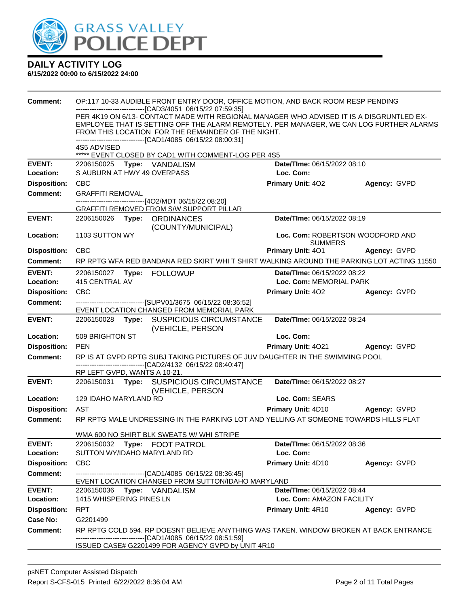

| <b>Comment:</b>     | OP:117 10-33 AUDIBLE FRONT ENTRY DOOR, OFFICE MOTION, AND BACK ROOM RESP PENDING                                                                       |                                                    |                     |  |  |  |
|---------------------|--------------------------------------------------------------------------------------------------------------------------------------------------------|----------------------------------------------------|---------------------|--|--|--|
|                     | ---------------------------[CAD3/4051_06/15/22 07:59:35]<br>PER 4K19 ON 6/13- CONTACT MADE WITH REGIONAL MANAGER WHO ADVISED IT IS A DISGRUNTLED EX-   |                                                    |                     |  |  |  |
|                     | EMPLOYEE THAT IS SETTING OFF THE ALARM REMOTELY. PER MANAGER, WE CAN LOG FURTHER ALARMS                                                                |                                                    |                     |  |  |  |
|                     | FROM THIS LOCATION FOR THE REMAINDER OF THE NIGHT.<br>-------------------------------[CAD1/4085 06/15/22 08:00:31]                                     |                                                    |                     |  |  |  |
|                     | 4S5 ADVISED                                                                                                                                            |                                                    |                     |  |  |  |
| <b>EVENT:</b>       | ***** EVENT CLOSED BY CAD1 WITH COMMENT-LOG PER 4S5<br>2206150025 Type: VANDALISM                                                                      | Date/TIme: 06/15/2022 08:10                        |                     |  |  |  |
| <b>Location:</b>    | S AUBURN AT HWY 49 OVERPASS                                                                                                                            | Loc. Com:                                          |                     |  |  |  |
| <b>Disposition:</b> | <b>CBC</b>                                                                                                                                             | <b>Primary Unit: 402</b>                           | Agency: GVPD        |  |  |  |
| <b>Comment:</b>     | <b>GRAFFITI REMOVAL</b>                                                                                                                                |                                                    |                     |  |  |  |
|                     | -------------------------[4O2/MDT 06/15/22 08:20]                                                                                                      |                                                    |                     |  |  |  |
| <b>EVENT:</b>       | GRAFFITI REMOVED FROM S/W SUPPORT PILLAR<br>2206150026 Type: ORDINANCES                                                                                | Date/TIme: 06/15/2022 08:19                        |                     |  |  |  |
|                     | (COUNTY/MUNICIPAL)                                                                                                                                     |                                                    |                     |  |  |  |
| <b>Location:</b>    | 1103 SUTTON WY                                                                                                                                         | Loc. Com: ROBERTSON WOODFORD AND<br><b>SUMMERS</b> |                     |  |  |  |
| <b>Disposition:</b> | <b>CBC</b>                                                                                                                                             | Primary Unit: 401                                  | <b>Agency: GVPD</b> |  |  |  |
| <b>Comment:</b>     | RP RPTG WFA RED BANDANA RED SKIRT WHI T SHIRT WALKING AROUND THE PARKING LOT ACTING 11550                                                              |                                                    |                     |  |  |  |
| <b>EVENT:</b>       |                                                                                                                                                        | Date/TIme: 06/15/2022 08:22                        |                     |  |  |  |
| Location:           | 415 CENTRAL AV                                                                                                                                         | Loc. Com: MEMORIAL PARK                            |                     |  |  |  |
| <b>Disposition:</b> | CBC                                                                                                                                                    | <b>Primary Unit: 402</b>                           | Agency: GVPD        |  |  |  |
| <b>Comment:</b>     | -------------------------------[SUPV01/3675 06/15/22 08:36:52]<br>EVENT LOCATION CHANGED FROM MEMORIAL PARK                                            |                                                    |                     |  |  |  |
| <b>EVENT:</b>       | 2206150028<br>Type: SUSPICIOUS CIRCUMSTANCE<br>(VEHICLE, PERSON                                                                                        | Date/TIme: 06/15/2022 08:24                        |                     |  |  |  |
| Location:           | 509 BRIGHTON ST                                                                                                                                        | Loc. Com:                                          |                     |  |  |  |
| <b>Disposition:</b> | <b>PEN</b>                                                                                                                                             | Primary Unit: 4021 Agency: GVPD                    |                     |  |  |  |
| <b>Comment:</b>     | RP IS AT GVPD RPTG SUBJ TAKING PICTURES OF JUV DAUGHTER IN THE SWIMMING POOL                                                                           |                                                    |                     |  |  |  |
|                     | -------------------------------[CAD2/4132_06/15/22_08:40:47]<br>RP LEFT GVPD, WANTS A 10-21.                                                           |                                                    |                     |  |  |  |
| <b>EVENT:</b>       | 2206150031 Type: SUSPICIOUS CIRCUMSTANCE<br>(VEHICLE, PERSON                                                                                           | Date/TIme: 06/15/2022 08:27                        |                     |  |  |  |
| Location:           | 129 IDAHO MARYLAND RD                                                                                                                                  | Loc. Com: SEARS                                    |                     |  |  |  |
| <b>Disposition:</b> | AST                                                                                                                                                    | <b>Primary Unit: 4D10 Agency: GVPD</b>             |                     |  |  |  |
| <b>Comment:</b>     | RP RPTG MALE UNDRESSING IN THE PARKING LOT AND YELLING AT SOMEONE TOWARDS HILLS FLAT                                                                   |                                                    |                     |  |  |  |
|                     | WMA 600 NO SHIRT BLK SWEATS W/ WHI STRIPE                                                                                                              |                                                    |                     |  |  |  |
| <b>EVENT:</b>       | 2206150032 Type: FOOT PATROL                                                                                                                           | Date/TIme: 06/15/2022 08:36                        |                     |  |  |  |
| Location:           | SUTTON WY/IDAHO MARYLAND RD                                                                                                                            | Loc. Com:                                          |                     |  |  |  |
| <b>Disposition:</b> | <b>CBC</b>                                                                                                                                             | <b>Primary Unit: 4D10</b>                          | Agency: GVPD        |  |  |  |
| <b>Comment:</b>     | -------------------------------[CAD1/4085_06/15/22_08:36:45]<br>EVENT LOCATION CHANGED FROM SUTTON/IDAHO MARYLAND                                      |                                                    |                     |  |  |  |
| <b>EVENT:</b>       | 2206150036 Type: VANDALISM                                                                                                                             | Date/TIme: 06/15/2022 08:44                        |                     |  |  |  |
| Location:           | 1415 WHISPERING PINES LN                                                                                                                               | Loc. Com: AMAZON FACILITY                          |                     |  |  |  |
| <b>Disposition:</b> | <b>RPT</b>                                                                                                                                             | <b>Primary Unit: 4R10</b>                          | Agency: GVPD        |  |  |  |
| <b>Case No:</b>     | G2201499                                                                                                                                               |                                                    |                     |  |  |  |
| Comment:            | RP RPTG COLD 594. RP DOESNT BELIEVE ANYTHING WAS TAKEN. WINDOW BROKEN AT BACK ENTRANCE<br>-------------------------------[CAD1/4085 06/15/22 08:51:59] |                                                    |                     |  |  |  |
|                     | ISSUED CASE# G2201499 FOR AGENCY GVPD by UNIT 4R10                                                                                                     |                                                    |                     |  |  |  |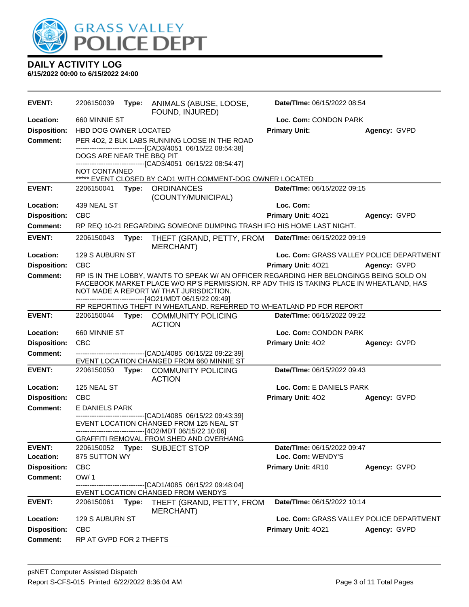

| <b>EVENT:</b>              | 2206150039                |       | Type: ANIMALS (ABUSE, LOOSE,<br>FOUND, INJURED)                                                                                                                                                                                                                                             | Date/TIme: 06/15/2022 08:54                      |              |
|----------------------------|---------------------------|-------|---------------------------------------------------------------------------------------------------------------------------------------------------------------------------------------------------------------------------------------------------------------------------------------------|--------------------------------------------------|--------------|
| Location:                  | 660 MINNIE ST             |       |                                                                                                                                                                                                                                                                                             | Loc. Com: CONDON PARK                            |              |
| <b>Disposition:</b>        | HBD DOG OWNER LOCATED     |       |                                                                                                                                                                                                                                                                                             | <b>Primary Unit:</b>                             | Agency: GVPD |
| <b>Comment:</b>            | DOGS ARE NEAR THE BBQ PIT |       | PER 402, 2 BLK LABS RUNNING LOOSE IN THE ROAD<br>--------------------------------[CAD3/4051 06/15/22 08:54:38]                                                                                                                                                                              |                                                  |              |
|                            | <b>NOT CONTAINED</b>      |       | ------------------------------[CAD3/4051 06/15/22 08:54:47]<br>***** EVENT CLOSED BY CAD1 WITH COMMENT-DOG OWNER LOCATED                                                                                                                                                                    |                                                  |              |
| <b>EVENT:</b>              | 2206150041                | Type: | <b>ORDINANCES</b><br>(COUNTY/MUNICIPAL)                                                                                                                                                                                                                                                     | Date/TIme: 06/15/2022 09:15                      |              |
| Location:                  | 439 NEAL ST               |       |                                                                                                                                                                                                                                                                                             | Loc. Com:                                        |              |
| <b>Disposition:</b>        | <b>CBC</b>                |       |                                                                                                                                                                                                                                                                                             | Primary Unit: 4021                               | Agency: GVPD |
| <b>Comment:</b>            |                           |       | RP REQ 10-21 REGARDING SOMEONE DUMPING TRASH IFO HIS HOME LAST NIGHT.                                                                                                                                                                                                                       |                                                  |              |
| <b>EVENT:</b>              | 2206150043                | Type: | THEFT (GRAND, PETTY, FROM<br><b>MERCHANT)</b>                                                                                                                                                                                                                                               | Date/TIme: 06/15/2022 09:19                      |              |
| Location:                  | 129 S AUBURN ST           |       |                                                                                                                                                                                                                                                                                             | Loc. Com: GRASS VALLEY POLICE DEPARTMENT         |              |
| <b>Disposition:</b>        | <b>CBC</b>                |       |                                                                                                                                                                                                                                                                                             | Primary Unit: 4021                               | Agency: GVPD |
| <b>Comment:</b>            |                           |       | RP IS IN THE LOBBY, WANTS TO SPEAK W/ AN OFFICER REGARDING HER BELONGINGS BEING SOLD ON<br>FACEBOOK MARKET PLACE W/O RP'S PERMISSION. RP ADV THIS IS TAKING PLACE IN WHEATLAND, HAS<br>NOT MADE A REPORT W/ THAT JURISDICTION.<br>--------------------------------[4O21/MDT 06/15/22 09:49] |                                                  |              |
|                            |                           |       | RP REPORTING THEFT IN WHEATLAND. REFERRED TO WHEATLAND PD FOR REPORT                                                                                                                                                                                                                        |                                                  |              |
| <b>EVENT:</b>              |                           |       | 2206150044 Type: COMMUNITY POLICING<br><b>ACTION</b>                                                                                                                                                                                                                                        | Date/TIme: 06/15/2022 09:22                      |              |
| Location:                  | 660 MINNIE ST             |       |                                                                                                                                                                                                                                                                                             | Loc. Com: CONDON PARK                            |              |
| <b>Disposition:</b>        | CBC                       |       |                                                                                                                                                                                                                                                                                             | <b>Primary Unit: 402</b>                         | Agency: GVPD |
| <b>Comment:</b>            |                           |       | -------------------------------[CAD1/4085 06/15/22 09:22:39]                                                                                                                                                                                                                                |                                                  |              |
| <b>EVENT:</b>              |                           |       | EVENT LOCATION CHANGED FROM 660 MINNIE ST                                                                                                                                                                                                                                                   | Date/TIme: 06/15/2022 09:43                      |              |
|                            |                           |       | 2206150050 Type: COMMUNITY POLICING<br><b>ACTION</b>                                                                                                                                                                                                                                        |                                                  |              |
| Location:                  | 125 NEAL ST               |       |                                                                                                                                                                                                                                                                                             | Loc. Com: E DANIELS PARK                         |              |
| <b>Disposition:</b>        | <b>CBC</b>                |       |                                                                                                                                                                                                                                                                                             | <b>Primary Unit: 402</b>                         | Agency: GVPD |
| Comment:                   | E DANIELS PARK            |       |                                                                                                                                                                                                                                                                                             |                                                  |              |
|                            |                           |       | ---------------------------------[CAD1/4085 06/15/22 09:43:39]<br>EVENT LOCATION CHANGED FROM 125 NEAL ST<br>-------------------------------[4O2/MDT 06/15/22 10:06]                                                                                                                        |                                                  |              |
|                            |                           |       | GRAFFITI REMOVAL FROM SHED AND OVERHANG                                                                                                                                                                                                                                                     |                                                  |              |
| <b>EVENT:</b><br>Location: | 875 SUTTON WY             |       | 2206150052 Type: SUBJECT STOP                                                                                                                                                                                                                                                               | Date/TIme: 06/15/2022 09:47<br>Loc. Com: WENDY'S |              |
| <b>Disposition:</b>        | <b>CBC</b>                |       |                                                                                                                                                                                                                                                                                             | Primary Unit: 4R10                               | Agency: GVPD |
| <b>Comment:</b>            | OW/1                      |       |                                                                                                                                                                                                                                                                                             |                                                  |              |
|                            |                           |       | --------------------[CAD1/4085 06/15/22 09:48:04]                                                                                                                                                                                                                                           |                                                  |              |
|                            |                           |       | EVENT LOCATION CHANGED FROM WENDYS                                                                                                                                                                                                                                                          |                                                  |              |
| <b>EVENT:</b>              | 2206150061                | Type: | THEFT (GRAND, PETTY, FROM<br>MERCHANT)                                                                                                                                                                                                                                                      | Date/TIme: 06/15/2022 10:14                      |              |
| Location:                  | 129 S AUBURN ST           |       |                                                                                                                                                                                                                                                                                             | Loc. Com: GRASS VALLEY POLICE DEPARTMENT         |              |
| <b>Disposition:</b>        | <b>CBC</b>                |       |                                                                                                                                                                                                                                                                                             | Primary Unit: 4021                               | Agency: GVPD |
| <b>Comment:</b>            | RP AT GVPD FOR 2 THEFTS   |       |                                                                                                                                                                                                                                                                                             |                                                  |              |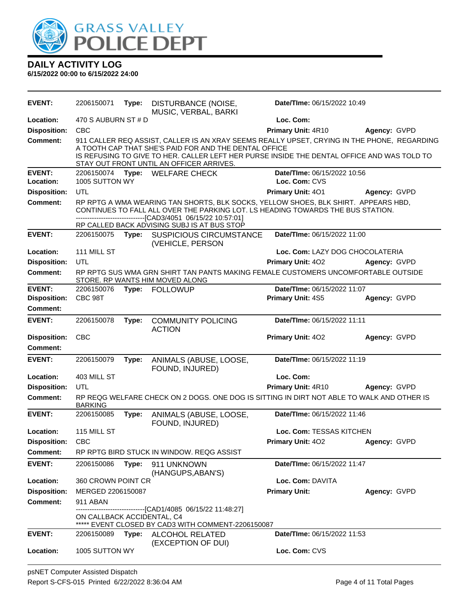

| <b>EVENT:</b>                   | 2206150071                 | Type: | DISTURBANCE (NOISE,<br>MUSIC, VERBAL, BARKI                                                                                                                                                                                                                                                    | Date/TIme: 06/15/2022 10:49     |              |
|---------------------------------|----------------------------|-------|------------------------------------------------------------------------------------------------------------------------------------------------------------------------------------------------------------------------------------------------------------------------------------------------|---------------------------------|--------------|
| Location:                       | 470 S AUBURN ST # D        |       |                                                                                                                                                                                                                                                                                                | Loc. Com:                       |              |
| <b>Disposition:</b>             | <b>CBC</b>                 |       |                                                                                                                                                                                                                                                                                                | Primary Unit: 4R10              | Agency: GVPD |
| <b>Comment:</b>                 |                            |       | 911 CALLER REQ ASSIST, CALLER IS AN XRAY SEEMS REALLY UPSET, CRYING IN THE PHONE, REGARDING<br>A TOOTH CAP THAT SHE'S PAID FOR AND THE DENTAL OFFICE<br>IS REFUSING TO GIVE TO HER. CALLER LEFT HER PURSE INSIDE THE DENTAL OFFICE AND WAS TOLD TO<br>STAY OUT FRONT UNTIL AN OFFICER ARRIVES. |                                 |              |
| <b>EVENT:</b>                   | 2206150074                 |       | Type: WELFARE CHECK                                                                                                                                                                                                                                                                            | Date/TIme: 06/15/2022 10:56     |              |
| Location:                       | 1005 SUTTON WY             |       |                                                                                                                                                                                                                                                                                                | Loc. Com: CVS                   |              |
| <b>Disposition:</b>             | UTL                        |       |                                                                                                                                                                                                                                                                                                | Primary Unit: 401               | Agency: GVPD |
| Comment:                        |                            |       | RP RPTG A WMA WEARING TAN SHORTS, BLK SOCKS, YELLOW SHOES, BLK SHIRT. APPEARS HBD,<br>CONTINUES TO FALL ALL OVER THE PARKING LOT. LS HEADING TOWARDS THE BUS STATION.<br>-------------------[CAD3/4051_06/15/22 10:57:01]<br>RP CALLED BACK ADVISING SUBJ IS AT BUS STOP                       |                                 |              |
| <b>EVENT:</b>                   | 2206150075                 | Type: | <b>SUSPICIOUS CIRCUMSTANCE</b><br>(VEHICLE, PERSON                                                                                                                                                                                                                                             | Date/TIme: 06/15/2022 11:00     |              |
| Location:                       | 111 MILL ST                |       |                                                                                                                                                                                                                                                                                                | Loc. Com: LAZY DOG CHOCOLATERIA |              |
| <b>Disposition:</b>             | UTL                        |       |                                                                                                                                                                                                                                                                                                | <b>Primary Unit: 402</b>        | Agency: GVPD |
| <b>Comment:</b>                 |                            |       | RP RPTG SUS WMA GRN SHIRT TAN PANTS MAKING FEMALE CUSTOMERS UNCOMFORTABLE OUTSIDE<br>STORE. RP WANTS HIM MOVED ALONG                                                                                                                                                                           |                                 |              |
| <b>EVENT:</b>                   | 2206150076                 | Type: | <b>FOLLOWUP</b>                                                                                                                                                                                                                                                                                | Date/TIme: 06/15/2022 11:07     |              |
| <b>Disposition:</b>             | CBC 98T                    |       |                                                                                                                                                                                                                                                                                                | Primary Unit: 4S5               | Agency: GVPD |
| Comment:                        |                            |       |                                                                                                                                                                                                                                                                                                |                                 |              |
| <b>EVENT:</b>                   | 2206150078                 | Type: | <b>COMMUNITY POLICING</b><br><b>ACTION</b>                                                                                                                                                                                                                                                     | Date/TIme: 06/15/2022 11:11     |              |
| <b>Disposition:</b><br>Comment: | <b>CBC</b>                 |       |                                                                                                                                                                                                                                                                                                | Primary Unit: 402               | Agency: GVPD |
| <b>EVENT:</b>                   | 2206150079                 | Type: | ANIMALS (ABUSE, LOOSE,<br>FOUND, INJURED)                                                                                                                                                                                                                                                      | Date/TIme: 06/15/2022 11:19     |              |
| Location:                       | 403 MILL ST                |       |                                                                                                                                                                                                                                                                                                | Loc. Com:                       |              |
| <b>Disposition:</b>             | UTL                        |       |                                                                                                                                                                                                                                                                                                | <b>Primary Unit: 4R10</b>       | Agency: GVPD |
| <b>Comment:</b>                 | <b>BARKING</b>             |       | RP REQG WELFARE CHECK ON 2 DOGS. ONE DOG IS SITTING IN DIRT NOT ABLE TO WALK AND OTHER IS                                                                                                                                                                                                      |                                 |              |
| <b>EVENT:</b>                   | 2206150085                 | Type: | ANIMALS (ABUSE, LOOSE,<br>FOUND, INJURED)                                                                                                                                                                                                                                                      | Date/TIme: 06/15/2022 11:46     |              |
| Location:                       | 115 MILL ST                |       |                                                                                                                                                                                                                                                                                                | Loc. Com: TESSAS KITCHEN        |              |
| <b>Disposition:</b>             | <b>CBC</b>                 |       |                                                                                                                                                                                                                                                                                                | Primary Unit: 402               | Agency: GVPD |
| <b>Comment:</b>                 |                            |       | RP RPTG BIRD STUCK IN WINDOW. REQG ASSIST                                                                                                                                                                                                                                                      |                                 |              |
| <b>EVENT:</b>                   | 2206150086                 | Type: | 911 UNKNOWN<br>(HANGUPS, ABAN'S)                                                                                                                                                                                                                                                               | Date/TIme: 06/15/2022 11:47     |              |
| Location:                       | 360 CROWN POINT CR         |       |                                                                                                                                                                                                                                                                                                | Loc. Com: DAVITA                |              |
| <b>Disposition:</b>             | MERGED 2206150087          |       |                                                                                                                                                                                                                                                                                                | <b>Primary Unit:</b>            | Agency: GVPD |
| <b>Comment:</b>                 | 911 ABAN                   |       |                                                                                                                                                                                                                                                                                                |                                 |              |
|                                 | ON CALLBACK ACCIDENTAL, C4 |       | ----------------[CAD1/4085 06/15/22 11:48:27]<br>***** EVENT CLOSED BY CAD3 WITH COMMENT-2206150087                                                                                                                                                                                            |                                 |              |
| <b>EVENT:</b>                   | 2206150089                 | Type: | <b>ALCOHOL RELATED</b>                                                                                                                                                                                                                                                                         | Date/TIme: 06/15/2022 11:53     |              |
| Location:                       | 1005 SUTTON WY             |       | (EXCEPTION OF DUI)                                                                                                                                                                                                                                                                             | Loc. Com: CVS                   |              |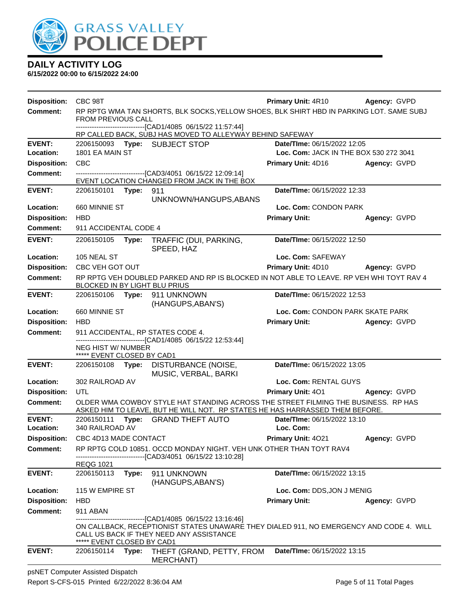

| <b>Disposition:</b> | CBC 98T                                          |       |                                                                                                                                                                                        | <b>Primary Unit: 4R10</b>              | Agency: GVPD |
|---------------------|--------------------------------------------------|-------|----------------------------------------------------------------------------------------------------------------------------------------------------------------------------------------|----------------------------------------|--------------|
| <b>Comment:</b>     |                                                  |       | RP RPTG WMA TAN SHORTS, BLK SOCKS, YELLOW SHOES, BLK SHIRT HBD IN PARKING LOT. SAME SUBJ                                                                                               |                                        |              |
|                     | <b>FROM PREVIOUS CALL</b>                        |       | -------------------------------[CAD1/4085 06/15/22 11:57:44]                                                                                                                           |                                        |              |
|                     |                                                  |       | RP CALLED BACK, SUBJ HAS MOVED TO ALLEYWAY BEHIND SAFEWAY                                                                                                                              |                                        |              |
| <b>EVENT:</b>       |                                                  |       | 2206150093 Type: SUBJECT STOP                                                                                                                                                          | Date/TIme: 06/15/2022 12:05            |              |
| Location:           | 1801 EA MAIN ST                                  |       |                                                                                                                                                                                        | Loc. Com: JACK IN THE BOX 530 272 3041 |              |
| <b>Disposition:</b> | <b>CBC</b>                                       |       |                                                                                                                                                                                        | Primary Unit: 4D16                     | Agency: GVPD |
| <b>Comment:</b>     |                                                  |       | --------------------[CAD3/4051 06/15/22 12:09:14]<br>EVENT LOCATION CHANGED FROM JACK IN THE BOX                                                                                       |                                        |              |
| <b>EVENT:</b>       | 2206150101 Type:                                 |       | 911                                                                                                                                                                                    | Date/TIme: 06/15/2022 12:33            |              |
|                     |                                                  |       | UNKNOWN/HANGUPS, ABANS                                                                                                                                                                 |                                        |              |
| Location:           | 660 MINNIE ST                                    |       |                                                                                                                                                                                        | Loc. Com: CONDON PARK                  |              |
| <b>Disposition:</b> | <b>HBD</b>                                       |       |                                                                                                                                                                                        | <b>Primary Unit:</b>                   | Agency: GVPD |
| <b>Comment:</b>     | 911 ACCIDENTAL CODE 4                            |       |                                                                                                                                                                                        |                                        |              |
| <b>EVENT:</b>       | 2206150105 Type:                                 |       | TRAFFIC (DUI, PARKING,<br>SPEED, HAZ                                                                                                                                                   | Date/TIme: 06/15/2022 12:50            |              |
| Location:           | 105 NEAL ST                                      |       |                                                                                                                                                                                        | Loc. Com: SAFEWAY                      |              |
| <b>Disposition:</b> | CBC VEH GOT OUT                                  |       |                                                                                                                                                                                        | Primary Unit: 4D10                     | Agency: GVPD |
| <b>Comment:</b>     | BLOCKED IN BY LIGHT BLU PRIUS                    |       | RP RPTG VEH DOUBLED PARKED AND RP IS BLOCKED IN NOT ABLE TO LEAVE. RP VEH WHI TOYT RAV 4                                                                                               |                                        |              |
| <b>EVENT:</b>       | 2206150106 Type:                                 |       | 911 UNKNOWN<br>(HANGUPS, ABAN'S)                                                                                                                                                       | Date/TIme: 06/15/2022 12:53            |              |
| Location:           | 660 MINNIE ST                                    |       |                                                                                                                                                                                        | Loc. Com: CONDON PARK SKATE PARK       |              |
| <b>Disposition:</b> | <b>HBD</b>                                       |       |                                                                                                                                                                                        | <b>Primary Unit:</b>                   | Agency: GVPD |
| <b>Comment:</b>     |                                                  |       | 911 ACCIDENTAL, RP STATES CODE 4.                                                                                                                                                      |                                        |              |
|                     | NEG HIST W/ NUMBER<br>***** EVENT CLOSED BY CAD1 |       | -------------------------------[CAD1/4085 06/15/22 12:53:44]                                                                                                                           |                                        |              |
| <b>EVENT:</b>       | 2206150108 Type:                                 |       | DISTURBANCE (NOISE,<br>MUSIC, VERBAL, BARKI                                                                                                                                            | Date/TIme: 06/15/2022 13:05            |              |
| Location:           | 302 RAILROAD AV                                  |       |                                                                                                                                                                                        | Loc. Com: RENTAL GUYS                  |              |
| <b>Disposition:</b> | UTL                                              |       |                                                                                                                                                                                        | Primary Unit: 401                      | Agency: GVPD |
| <b>Comment:</b>     |                                                  |       | OLDER WMA COWBOY STYLE HAT STANDING ACROSS THE STREET FILMING THE BUSINESS. RP HAS<br>ASKED HIM TO LEAVE, BUT HE WILL NOT. RP STATES HE HAS HARRASSED THEM BEFORE.                     |                                        |              |
| <b>EVENT:</b>       | 2206150111                                       |       | Type: GRAND THEFT AUTO                                                                                                                                                                 | Date/TIme: 06/15/2022 13:10            |              |
| Location:           | 340 RAILROAD AV                                  |       |                                                                                                                                                                                        | Loc. Com:                              |              |
|                     | Disposition: CBC 4D13 MADE CONTACT               |       |                                                                                                                                                                                        | Primary Unit: 4021                     | Agency: GVPD |
| <b>Comment:</b>     |                                                  |       | RP RPTG COLD 10851. OCCD MONDAY NIGHT. VEH UNK OTHER THAN TOYT RAV4<br>------------------[CAD3/4051_06/15/22 13:10:28]                                                                 |                                        |              |
|                     | REQG 1021                                        |       |                                                                                                                                                                                        |                                        |              |
| <b>EVENT:</b>       | 2206150113                                       | Type: | 911 UNKNOWN<br>(HANGUPS, ABAN'S)                                                                                                                                                       | Date/TIme: 06/15/2022 13:15            |              |
| Location:           | 115 W EMPIRE ST                                  |       |                                                                                                                                                                                        | Loc. Com: DDS, JON J MENIG             |              |
| <b>Disposition:</b> | <b>HBD</b>                                       |       |                                                                                                                                                                                        | <b>Primary Unit:</b>                   | Agency: GVPD |
| <b>Comment:</b>     | 911 ABAN                                         |       |                                                                                                                                                                                        |                                        |              |
|                     | ***** EVENT CLOSED BY CAD1                       |       | ------------------[CAD1/4085 06/15/22 13:16:46]<br>ON CALLBACK, RECEPTIONIST STATES UNAWARE THEY DIALED 911, NO EMERGENCY AND CODE 4. WILL<br>CALL US BACK IF THEY NEED ANY ASSISTANCE |                                        |              |
| <b>EVENT:</b>       | 2206150114                                       |       | Type: THEFT (GRAND, PETTY, FROM<br><b>MERCHANT)</b>                                                                                                                                    | Date/TIme: 06/15/2022 13:15            |              |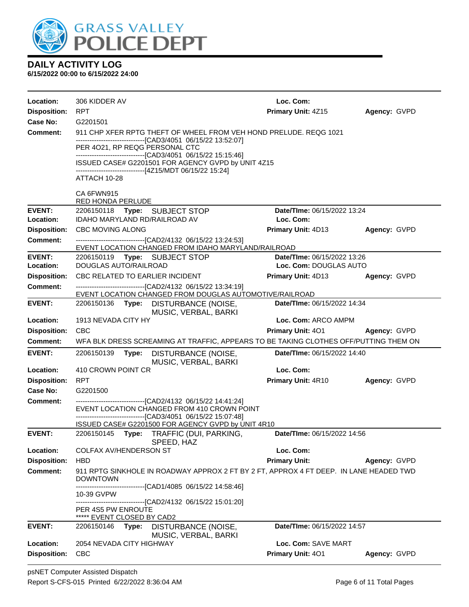

| Location:           | 306 KIDDER AV                                                                                                           | Loc. Com:                          |              |
|---------------------|-------------------------------------------------------------------------------------------------------------------------|------------------------------------|--------------|
| <b>Disposition:</b> | <b>RPT</b>                                                                                                              | Primary Unit: 4Z15                 | Agency: GVPD |
| Case No:            | G2201501                                                                                                                |                                    |              |
| <b>Comment:</b>     | 911 CHP XFER RPTG THEFT OF WHEEL FROM VEH HOND PRELUDE, REQG 1021                                                       |                                    |              |
|                     | --------------------------------[CAD3/4051_06/15/22 13:52:07]<br>PER 4021, RP REQG PERSONAL CTC                         |                                    |              |
|                     | -------------------------------[CAD3/4051 06/15/22 15:15:46]                                                            |                                    |              |
|                     | ISSUED CASE# G2201501 FOR AGENCY GVPD by UNIT 4Z15<br>------------------------------[4Z15/MDT 06/15/22 15:24]           |                                    |              |
|                     | ATTACH 10-28                                                                                                            |                                    |              |
|                     | CA 6FWN915<br>RED HONDA PERLUDE                                                                                         |                                    |              |
| <b>EVENT:</b>       | 2206150118 Type: SUBJECT STOP                                                                                           | Date/TIme: 06/15/2022 13:24        |              |
| Location:           | IDAHO MARYLAND RD/RAILROAD AV                                                                                           | Loc. Com:                          |              |
| <b>Disposition:</b> | <b>CBC MOVING ALONG</b>                                                                                                 | Primary Unit: 4D13                 | Agency: GVPD |
| Comment:            | -------------------------------[CAD2/4132_06/15/22_13:24:53]<br>EVENT LOCATION CHANGED FROM IDAHO MARYLAND/RAILROAD     |                                    |              |
| <b>EVENT:</b>       | 2206150119 Type: SUBJECT STOP                                                                                           | Date/TIme: 06/15/2022 13:26        |              |
| Location:           | DOUGLAS AUTO/RAILROAD                                                                                                   | Loc. Com: DOUGLAS AUTO             |              |
| <b>Disposition:</b> | CBC RELATED TO EARLIER INCIDENT                                                                                         | Primary Unit: 4D13                 | Agency: GVPD |
| Comment:            | -------------------------------[CAD2/4132_06/15/22_13:34:19]<br>EVENT LOCATION CHANGED FROM DOUGLAS AUTOMOTIVE/RAILROAD |                                    |              |
| <b>EVENT:</b>       | 2206150136 Type: DISTURBANCE (NOISE,<br>MUSIC, VERBAL, BARKI                                                            | Date/TIme: 06/15/2022 14:34        |              |
| Location:           | 1913 NEVADA CITY HY                                                                                                     | Loc. Com: ARCO AMPM                |              |
| <b>Disposition:</b> | <b>CBC</b>                                                                                                              | <b>Primary Unit: 401</b>           | Agency: GVPD |
| Comment:            | WFA BLK DRESS SCREAMING AT TRAFFIC, APPEARS TO BE TAKING CLOTHES OFF/PUTTING THEM ON                                    |                                    |              |
| <b>EVENT:</b>       | 2206150139<br>Type: DISTURBANCE (NOISE,<br>MUSIC, VERBAL, BARKI                                                         | Date/TIme: 06/15/2022 14:40        |              |
| Location:           | 410 CROWN POINT CR                                                                                                      | Loc. Com:                          |              |
| <b>Disposition:</b> | <b>RPT</b>                                                                                                              | <b>Primary Unit: 4R10</b>          | Agency: GVPD |
| Case No:            | G2201500                                                                                                                |                                    |              |
| Comment:            | ------------------------------[CAD2/4132 06/15/22 14:41:24]<br>EVENT LOCATION CHANGED FROM 410 CROWN POINT              |                                    |              |
|                     | -------------------------------[CAD3/4051_06/15/22 15:07:48]<br>ISSUED CASE# G2201500 FOR AGENCY GVPD by UNIT 4R10      |                                    |              |
| <b>EVENT:</b>       | 2206150145 Type: TRAFFIC (DUI, PARKING,<br>SPEED, HAZ                                                                   | <b>Date/Time: 06/15/2022 14:56</b> |              |
| Location:           | <b>COLFAX AV/HENDERSON ST</b>                                                                                           | Loc. Com:                          |              |
| <b>Disposition:</b> | <b>HBD</b>                                                                                                              | <b>Primary Unit:</b>               | Agency: GVPD |
| <b>Comment:</b>     | 911 RPTG SINKHOLE IN ROADWAY APPROX 2 FT BY 2 FT, APPROX 4 FT DEEP. IN LANE HEADED TWD<br><b>DOWNTOWN</b>               |                                    |              |
|                     | ------------------[CAD1/4085_06/15/22 14:58:46]<br>10-39 GVPW                                                           |                                    |              |
|                     | -------------------------------[CAD2/4132 06/15/22 15:01:20]<br>PER 4S5 PW ENROUTE<br>***** EVENT CLOSED BY CAD2        |                                    |              |
| <b>EVENT:</b>       | 2206150146<br>Type:<br>DISTURBANCE (NOISE,                                                                              | Date/TIme: 06/15/2022 14:57        |              |
| Location:           | MUSIC, VERBAL, BARKI<br>2054 NEVADA CITY HIGHWAY                                                                        | Loc. Com: SAVE MART                |              |
| <b>Disposition:</b> | <b>CBC</b>                                                                                                              | Primary Unit: 401                  | Agency: GVPD |
|                     |                                                                                                                         |                                    |              |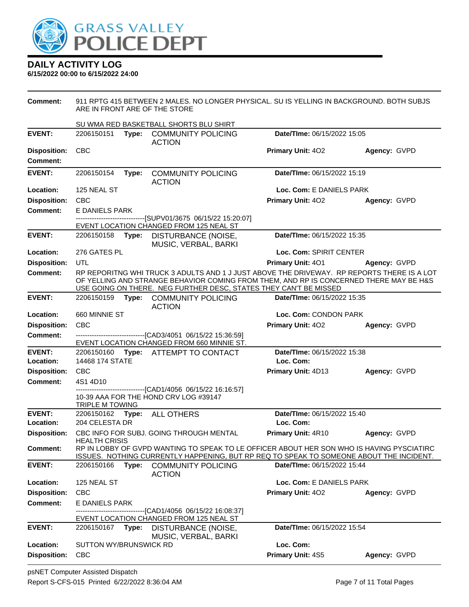

**6/15/2022 00:00 to 6/15/2022 24:00**

**Comment:** 911 RPTG 415 BETWEEN 2 MALES. NO LONGER PHYSICAL. SU IS YELLING IN BACKGROUND. BOTH SUBJS ARE IN FRONT ARE OF THE STORE SU WMA RED BASKETBALL SHORTS BLU SHIRT **EVENT:** 2206150151 **Type:** COMMUNITY POLICING ACTION **Date/TIme:** 06/15/2022 15:05 **Disposition:** CBC **Primary Unit:** 4O2 **Agency:** GVPD **Comment: EVENT:** 2206150154 **Type:** COMMUNITY POLICING ACTION **Date/TIme:** 06/15/2022 15:19 **Location:** 125 NEAL ST **Loc. Com:** E DANIELS PARK **Disposition:** CBC **Primary Unit:** 4O2 **Agency:** GVPD **Comment:** E DANIELS PARK --[SUPV01/3675 06/15/22 15:20:07] EVENT LOCATION CHANGED FROM 125 NEAL ST **EVENT:** 2206150158 **Type:** DISTURBANCE (NOISE, MUSIC, VERBAL, BARKI **Date/TIme:** 06/15/2022 15:35 **Location:** 276 GATES PL **Loc. Com:** SPIRIT CENTER **Disposition:** UTL **Primary Unit:** 4O1 **Agency:** GVPD **Comment:** RP REPORITNG WHI TRUCK 3 ADULTS AND 1 J JUST ABOVE THE DRIVEWAY. RP REPORTS THERE IS A LOT OF YELLING AND STRANGE BEHAVIOR COMING FROM THEM, AND RP IS CONCERNED THERE MAY BE H&S USE GOING ON THERE. NEG FURTHER DESC, STATES THEY CAN'T BE MISSED **EVENT:** 2206150159 **Type:** COMMUNITY POLICING ACTION **Date/TIme:** 06/15/2022 15:35 **Location:** 660 MINNIE ST **Loc. Com:** CONDON PARK **Disposition:** CBC **Primary Unit:** 4O2 **Agency:** GVPD **Comment:** ------------------------------[CAD3/4051 06/15/22 15:36:59] EVENT LOCATION CHANGED FROM 660 MINNIE ST. **EVENT:** 2206150160 **Type:** ATTEMPT TO CONTACT **Date/TIme:** 06/15/2022 15:38 **Location:** 14468 174 STATE **Loc. Com: Disposition:** CBC **Primary Unit:** 4D13 **Agency:** GVPD **Comment:** 4S1 4D10 ------------------------------[CAD1/4056 06/15/22 16:16:57] 10-39 AAA FOR THE HOND CRV LOG #39147 **TRIPLE M TOWING EVENT:** 2206150162 **Type:** ALL OTHERS **Date/TIme:** 06/15/2022 15:40 **Location:** 204 CELESTA DR **Loc. Com: Disposition:** CBC INFO FOR SUBJ. GOING THROUGH MENTAL HEALTH CRISIS **Primary Unit:** 4R10 **Agency:** GVPD **Comment:** RP IN LOBBY OF GVPD WANTING TO SPEAK TO LE OFFICER ABOUT HER SON WHO IS HAVING PYSCIATIRC ISSUES. NOTHING CURRENTLY HAPPENING, BUT RP REQ TO SPEAK TO SOMEONE ABOUT THE INCIDENT. **EVENT:** 2206150166 **Type:** COMMUNITY POLICING ACTION **Date/TIme:** 06/15/2022 15:44 **Location:** 125 NEAL ST **Loc. Com:** E DANIELS PARK **Disposition:** CBC **Primary Unit:** 4O2 **Agency:** GVPD **Comment:** E DANIELS PARK ---[CAD1/4056 06/15/22 16:08:37] EVENT LOCATION CHANGED FROM 125 NEAL ST **EVENT:** 2206150167 **Type:** DISTURBANCE (NOISE, MUSIC, VERBAL, BARKI **Date/TIme:** 06/15/2022 15:54 **Location:** SUTTON WY/BRUNSWICK RD **Loc. Com: Disposition:** CBC **Primary Unit:** 4S5 **Agency:** GVPD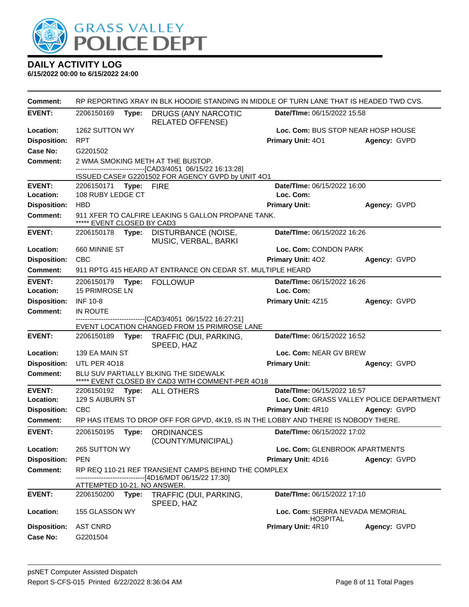

| Comment:            | RP REPORTING XRAY IN BLK HOODIE STANDING IN MIDDLE OF TURN LANE THAT IS HEADED TWD CVS. |       |                                                                                                        |                                                     |                                          |  |  |
|---------------------|-----------------------------------------------------------------------------------------|-------|--------------------------------------------------------------------------------------------------------|-----------------------------------------------------|------------------------------------------|--|--|
| <b>EVENT:</b>       | 2206150169                                                                              | Type: | DRUGS (ANY NARCOTIC<br><b>RELATED OFFENSE)</b>                                                         | Date/TIme: 06/15/2022 15:58                         |                                          |  |  |
| Location:           | 1262 SUTTON WY                                                                          |       |                                                                                                        | Loc. Com: BUS STOP NEAR HOSP HOUSE                  |                                          |  |  |
| <b>Disposition:</b> | <b>RPT</b>                                                                              |       |                                                                                                        | <b>Primary Unit: 401</b>                            | Agency: GVPD                             |  |  |
| Case No:            | G2201502                                                                                |       |                                                                                                        |                                                     |                                          |  |  |
| <b>Comment:</b>     |                                                                                         |       | 2 WMA SMOKING METH AT THE BUSTOP.<br>-------------------------------[CAD3/4051 06/15/22 16:13:28]      |                                                     |                                          |  |  |
|                     |                                                                                         |       | ISSUED CASE# G2201502 FOR AGENCY GVPD by UNIT 4O1                                                      |                                                     |                                          |  |  |
| <b>EVENT:</b>       | 2206150171 Type: FIRE                                                                   |       |                                                                                                        | Date/TIme: 06/15/2022 16:00                         |                                          |  |  |
| Location:           | 108 RUBY LEDGE CT                                                                       |       |                                                                                                        | Loc. Com:                                           |                                          |  |  |
| <b>Disposition:</b> | <b>HBD</b>                                                                              |       |                                                                                                        | <b>Primary Unit:</b>                                | Agency: GVPD                             |  |  |
| <b>Comment:</b>     | ***** EVENT CLOSED BY CAD3                                                              |       | 911 XFER TO CALFIRE LEAKING 5 GALLON PROPANE TANK.                                                     |                                                     |                                          |  |  |
| <b>EVENT:</b>       | 2206150178                                                                              | Type: | DISTURBANCE (NOISE,<br>MUSIC, VERBAL, BARKI                                                            | Date/TIme: 06/15/2022 16:26                         |                                          |  |  |
| Location:           | 660 MINNIE ST                                                                           |       |                                                                                                        | Loc. Com: CONDON PARK                               |                                          |  |  |
| <b>Disposition:</b> | <b>CBC</b>                                                                              |       |                                                                                                        | <b>Primary Unit: 402</b>                            | Agency: GVPD                             |  |  |
| Comment:            |                                                                                         |       | 911 RPTG 415 HEARD AT ENTRANCE ON CEDAR ST. MULTIPLE HEARD                                             |                                                     |                                          |  |  |
| <b>EVENT:</b>       | 2206150179                                                                              |       | Type: FOLLOWUP                                                                                         | Date/TIme: 06/15/2022 16:26                         |                                          |  |  |
| Location:           | <b>15 PRIMROSE LN</b>                                                                   |       |                                                                                                        | Loc. Com:                                           |                                          |  |  |
| <b>Disposition:</b> | <b>INF 10-8</b>                                                                         |       |                                                                                                        | Primary Unit: 4Z15                                  | Agency: GVPD                             |  |  |
| <b>Comment:</b>     | IN ROUTE                                                                                |       | --------------------[CAD3/4051_06/15/22 16:27:21]                                                      |                                                     |                                          |  |  |
|                     |                                                                                         |       | EVENT LOCATION CHANGED FROM 15 PRIMROSE LANE                                                           |                                                     |                                          |  |  |
| <b>EVENT:</b>       | 2206150189                                                                              | Type: | TRAFFIC (DUI, PARKING,<br>SPEED, HAZ                                                                   | Date/TIme: 06/15/2022 16:52                         |                                          |  |  |
| Location:           | 139 EA MAIN ST                                                                          |       |                                                                                                        | Loc. Com: NEAR GV BREW                              |                                          |  |  |
| <b>Disposition:</b> | <b>UTL PER 4018</b>                                                                     |       |                                                                                                        | <b>Primary Unit:</b>                                | Agency: GVPD                             |  |  |
| <b>Comment:</b>     |                                                                                         |       | BLU SUV PARTIALLY BLKING THE SIDEWALK<br>***** EVENT CLOSED BY CAD3 WITH COMMENT-PER 4018              |                                                     |                                          |  |  |
| <b>EVENT:</b>       |                                                                                         |       | 2206150192 Type: ALL OTHERS                                                                            | Date/TIme: 06/15/2022 16:57                         |                                          |  |  |
| Location:           | 129 S AUBURN ST                                                                         |       |                                                                                                        |                                                     | Loc. Com: GRASS VALLEY POLICE DEPARTMENT |  |  |
| <b>Disposition:</b> | <b>CBC</b>                                                                              |       |                                                                                                        | <b>Primary Unit: 4R10</b>                           | Agency: GVPD                             |  |  |
| <b>Comment:</b>     |                                                                                         |       | RP HAS ITEMS TO DROP OFF FOR GPVD, 4K19, IS IN THE LOBBY AND THERE IS NOBODY THERE.                    |                                                     |                                          |  |  |
| <b>EVENT:</b>       | 2206150195                                                                              | Type: | <b>ORDINANCES</b><br>(COUNTY/MUNICIPAL)                                                                | Date/Time: 06/15/2022 17:02                         |                                          |  |  |
| Location:           | 265 SUTTON WY                                                                           |       |                                                                                                        | Loc. Com: GLENBROOK APARTMENTS                      |                                          |  |  |
| <b>Disposition:</b> | <b>PEN</b>                                                                              |       |                                                                                                        | Primary Unit: 4D16                                  | Agency: GVPD                             |  |  |
| <b>Comment:</b>     |                                                                                         |       | RP REQ 110-21 REF TRANSIENT CAMPS BEHIND THE COMPLEX<br>---------------------[4D16/MDT 06/15/22 17:30] |                                                     |                                          |  |  |
| <b>EVENT:</b>       | ATTEMPTED 10-21. NO ANSWER.                                                             |       |                                                                                                        | Date/TIme: 06/15/2022 17:10                         |                                          |  |  |
|                     | 2206150200                                                                              | Type: | TRAFFIC (DUI, PARKING,<br>SPEED, HAZ                                                                   |                                                     |                                          |  |  |
| Location:           | 155 GLASSON WY                                                                          |       |                                                                                                        | Loc. Com: SIERRA NEVADA MEMORIAL<br><b>HOSPITAL</b> |                                          |  |  |
| <b>Disposition:</b> | <b>AST CNRD</b>                                                                         |       |                                                                                                        | Primary Unit: 4R10                                  | Agency: GVPD                             |  |  |
| <b>Case No:</b>     | G2201504                                                                                |       |                                                                                                        |                                                     |                                          |  |  |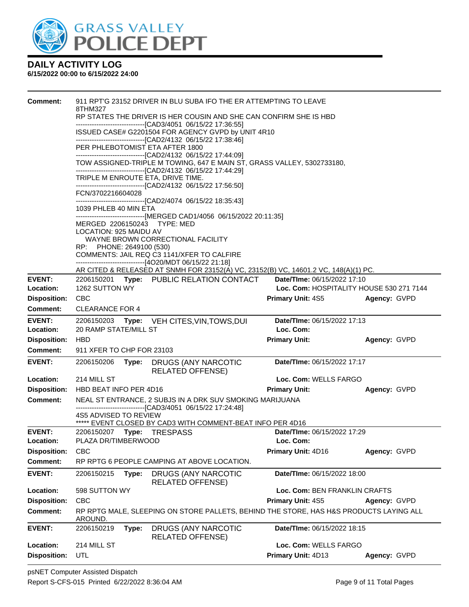

| <b>Comment:</b>                  | 911 RPT'G 23152 DRIVER IN BLU SUBA IFO THE ER ATTEMPTING TO LEAVE<br>8THM327<br>RP STATES THE DRIVER IS HER COUSIN AND SHE CAN CONFIRM SHE IS HBD<br>-------------------------------[CAD3/4051 06/15/22 17:36:55] |       |                                                                                                                                                                  |                                    |                                          |  |
|----------------------------------|-------------------------------------------------------------------------------------------------------------------------------------------------------------------------------------------------------------------|-------|------------------------------------------------------------------------------------------------------------------------------------------------------------------|------------------------------------|------------------------------------------|--|
|                                  |                                                                                                                                                                                                                   |       | ISSUED CASE# G2201504 FOR AGENCY GVPD by UNIT 4R10                                                                                                               |                                    |                                          |  |
|                                  |                                                                                                                                                                                                                   |       | --------------------------------[CAD2/4132 06/15/22 17:38:46]<br>PER PHLEBOTOMIST ETA AFTER 1800<br>-------------------------------[CAD2/4132 06/15/22 17:44:09] |                                    |                                          |  |
|                                  |                                                                                                                                                                                                                   |       | TOW ASSIGNED-TRIPLE M TOWING, 647 E MAIN ST, GRASS VALLEY, 5302733180,<br>--------------------------------[CAD2/4132 06/15/22 17:44:29]                          |                                    |                                          |  |
|                                  |                                                                                                                                                                                                                   |       | TRIPLE M ENROUTE ETA, DRIVE TIME.<br>-------------------------------[CAD2/4132 06/15/22 17:56:50]                                                                |                                    |                                          |  |
|                                  | FCN/3702216604028                                                                                                                                                                                                 |       |                                                                                                                                                                  |                                    |                                          |  |
|                                  | --------------------------------[CAD2/4074_06/15/22 18:35:43]<br>1039 PHLEB 40 MIN ETA<br>------------------------------[MERGED CAD1/4056 06/15/2022 20:11:35]                                                    |       |                                                                                                                                                                  |                                    |                                          |  |
|                                  | LOCATION: 925 MAIDU AV<br>RP: PHONE: 2649100 (530)                                                                                                                                                                |       | MERGED 2206150243 TYPE: MED<br>WAYNE BROWN CORRECTIONAL FACILITY                                                                                                 |                                    |                                          |  |
|                                  |                                                                                                                                                                                                                   |       | COMMENTS: JAIL REQ C3 1141/XFER TO CALFIRE<br>--------------------------------[4O20/MDT 06/15/22 21:18]                                                          |                                    |                                          |  |
|                                  |                                                                                                                                                                                                                   |       | AR CITED & RELEASED AT SNMH FOR 23152(A) VC, 23152(B) VC, 14601.2 VC, 148(A)(1) PC.                                                                              |                                    |                                          |  |
| <b>EVENT:</b>                    |                                                                                                                                                                                                                   |       | 2206150201 Type: PUBLIC RELATION CONTACT                                                                                                                         | Date/TIme: 06/15/2022 17:10        |                                          |  |
| Location:                        | 1262 SUTTON WY                                                                                                                                                                                                    |       |                                                                                                                                                                  |                                    | Loc. Com: HOSPITALITY HOUSE 530 271 7144 |  |
| <b>Disposition:</b><br>Comment:  | <b>CBC</b><br><b>CLEARANCE FOR 4</b>                                                                                                                                                                              |       |                                                                                                                                                                  | <b>Primary Unit: 4S5</b>           | Agency: GVPD                             |  |
| <b>EVENT:</b>                    | 2206150203 Type:                                                                                                                                                                                                  |       | VEH CITES, VIN, TOWS, DUI                                                                                                                                        | Date/TIme: 06/15/2022 17:13        |                                          |  |
| Location:                        | 20 RAMP STATE/MILL ST                                                                                                                                                                                             |       |                                                                                                                                                                  | Loc. Com:                          |                                          |  |
| <b>Disposition:</b>              | <b>HBD</b>                                                                                                                                                                                                        |       |                                                                                                                                                                  | <b>Primary Unit:</b>               | Agency: GVPD                             |  |
| <b>Comment:</b>                  | 911 XFER TO CHP FOR 23103                                                                                                                                                                                         |       |                                                                                                                                                                  |                                    |                                          |  |
| <b>EVENT:</b>                    | 2206150206                                                                                                                                                                                                        | Type: | DRUGS (ANY NARCOTIC<br><b>RELATED OFFENSE)</b>                                                                                                                   | Date/TIme: 06/15/2022 17:17        |                                          |  |
| Location:                        | 214 MILL ST                                                                                                                                                                                                       |       |                                                                                                                                                                  | Loc. Com: WELLS FARGO              |                                          |  |
| <b>Disposition:</b>              | HBD BEAT INFO PER 4D16                                                                                                                                                                                            |       |                                                                                                                                                                  | <b>Primary Unit:</b>               | Agency: GVPD                             |  |
| <b>Comment:</b>                  |                                                                                                                                                                                                                   |       | NEAL ST ENTRANCE, 2 SUBJS IN A DRK SUV SMOKING MARIJUANA<br>------------------------------[CAD3/4051 06/15/22 17:24:48]                                          |                                    |                                          |  |
|                                  | 4S5 ADVISED TO REVIEW                                                                                                                                                                                             |       | ***** EVENT CLOSED BY CAD3 WITH COMMENT-BEAT INFO PER 4D16                                                                                                       |                                    |                                          |  |
| <b>EVENT:</b>                    | PLAZA DR/TIMBERWOOD                                                                                                                                                                                               |       |                                                                                                                                                                  | <b>Date/Time: 06/15/2022 17:29</b> |                                          |  |
| Location:<br><b>Disposition:</b> | <b>CBC</b>                                                                                                                                                                                                        |       |                                                                                                                                                                  | Loc. Com:<br>Primary Unit: 4D16    | Agency: GVPD                             |  |
| <b>Comment:</b>                  |                                                                                                                                                                                                                   |       | RP RPTG 6 PEOPLE CAMPING AT ABOVE LOCATION.                                                                                                                      |                                    |                                          |  |
| <b>EVENT:</b>                    | 2206150215                                                                                                                                                                                                        | Type: | DRUGS (ANY NARCOTIC<br><b>RELATED OFFENSE)</b>                                                                                                                   | Date/TIme: 06/15/2022 18:00        |                                          |  |
| Location:                        | 598 SUTTON WY                                                                                                                                                                                                     |       |                                                                                                                                                                  | Loc. Com: BEN FRANKLIN CRAFTS      |                                          |  |
| <b>Disposition:</b>              | <b>CBC</b>                                                                                                                                                                                                        |       |                                                                                                                                                                  | Primary Unit: 4S5                  | Agency: GVPD                             |  |
| <b>Comment:</b>                  | AROUND.                                                                                                                                                                                                           |       | RP RPTG MALE, SLEEPING ON STORE PALLETS, BEHIND THE STORE, HAS H&S PRODUCTS LAYING ALL                                                                           |                                    |                                          |  |
| <b>EVENT:</b>                    | 2206150219                                                                                                                                                                                                        | Type: | DRUGS (ANY NARCOTIC<br><b>RELATED OFFENSE)</b>                                                                                                                   | Date/TIme: 06/15/2022 18:15        |                                          |  |
| Location:                        | 214 MILL ST                                                                                                                                                                                                       |       |                                                                                                                                                                  | Loc. Com: WELLS FARGO              |                                          |  |
| <b>Disposition:</b>              | UTL                                                                                                                                                                                                               |       |                                                                                                                                                                  | Primary Unit: 4D13                 | Agency: GVPD                             |  |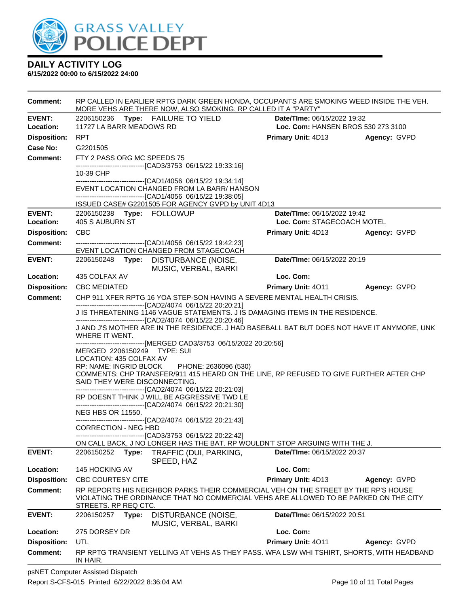

**6/15/2022 00:00 to 6/15/2022 24:00**

| <b>Comment:</b>     | RP CALLED IN EARLIER RPTG DARK GREEN HONDA, OCCUPANTS ARE SMOKING WEED INSIDE THE VEH.<br>MORE VEHS ARE THERE NOW, ALSO SMOKING. RP CALLED IT A "PARTY" |       |                                                                                                                    |                                    |              |  |  |
|---------------------|---------------------------------------------------------------------------------------------------------------------------------------------------------|-------|--------------------------------------------------------------------------------------------------------------------|------------------------------------|--------------|--|--|
| <b>EVENT:</b>       | 2206150236 Type: FAILURE TO YIELD<br><b>Date/Time: 06/15/2022 19:32</b>                                                                                 |       |                                                                                                                    |                                    |              |  |  |
| Location:           | 11727 LA BARR MEADOWS RD                                                                                                                                |       |                                                                                                                    | Loc. Com: HANSEN BROS 530 273 3100 |              |  |  |
| <b>Disposition:</b> | <b>RPT</b>                                                                                                                                              |       |                                                                                                                    | <b>Primary Unit: 4D13</b>          | Agency: GVPD |  |  |
| <b>Case No:</b>     | G2201505                                                                                                                                                |       |                                                                                                                    |                                    |              |  |  |
| Comment:            | FTY 2 PASS ORG MC SPEEDS 75                                                                                                                             |       |                                                                                                                    |                                    |              |  |  |
|                     | 10-39 CHP                                                                                                                                               |       | -------------------------------[CAD3/3753 06/15/22 19:33:16]                                                       |                                    |              |  |  |
|                     |                                                                                                                                                         |       | -------------------------------[CAD1/4056 06/15/22 19:34:14]                                                       |                                    |              |  |  |
|                     |                                                                                                                                                         |       | EVENT LOCATION CHANGED FROM LA BARR/ HANSON                                                                        |                                    |              |  |  |
|                     |                                                                                                                                                         |       | -------------------------------[CAD1/4056 06/15/22 19:38:05]<br>ISSUED CASE# G2201505 FOR AGENCY GVPD by UNIT 4D13 |                                    |              |  |  |
| <b>EVENT:</b>       | 2206150238 Type: FOLLOWUP                                                                                                                               |       |                                                                                                                    | Date/TIme: 06/15/2022 19:42        |              |  |  |
| Location:           | 405 S AUBURN ST                                                                                                                                         |       |                                                                                                                    | Loc. Com: STAGECOACH MOTEL         |              |  |  |
| <b>Disposition:</b> | <b>CBC</b>                                                                                                                                              |       |                                                                                                                    | Primary Unit: 4D13                 | Agency: GVPD |  |  |
| <b>Comment:</b>     |                                                                                                                                                         |       | -------------------------------[CAD1/4056 06/15/22 19:42:23]                                                       |                                    |              |  |  |
|                     |                                                                                                                                                         |       | EVENT LOCATION CHANGED FROM STAGECOACH                                                                             |                                    |              |  |  |
| <b>EVENT:</b>       | 2206150248                                                                                                                                              |       | Type: DISTURBANCE (NOISE,<br>MUSIC, VERBAL, BARKI                                                                  | Date/TIme: 06/15/2022 20:19        |              |  |  |
| Location:           | 435 COLFAX AV                                                                                                                                           |       |                                                                                                                    | Loc. Com:                          |              |  |  |
| <b>Disposition:</b> | <b>CBC MEDIATED</b>                                                                                                                                     |       |                                                                                                                    | <b>Primary Unit: 4011</b>          | Agency: GVPD |  |  |
| <b>Comment:</b>     |                                                                                                                                                         |       | CHP 911 XFER RPTG 16 YOA STEP-SON HAVING A SEVERE MENTAL HEALTH CRISIS.                                            |                                    |              |  |  |
|                     | -------------------------------[CAD2/4074 06/15/22 20:20:21]<br>J IS THREATENING 1146 VAGUE STATEMENTS. J IS DAMAGING ITEMS IN THE RESIDENCE.           |       |                                                                                                                    |                                    |              |  |  |
|                     | ------------------------------[CAD2/4074 06/15/22 20:20:46]                                                                                             |       |                                                                                                                    |                                    |              |  |  |
|                     |                                                                                                                                                         |       | J AND J'S MOTHER ARE IN THE RESIDENCE. J HAD BASEBALL BAT BUT DOES NOT HAVE IT ANYMORE, UNK                        |                                    |              |  |  |
|                     | WHERE IT WENT.                                                                                                                                          |       | -------------------------------[MERGED CAD3/3753 06/15/2022 20:20:56]                                              |                                    |              |  |  |
|                     | MERGED 2206150249 TYPE: SUI                                                                                                                             |       |                                                                                                                    |                                    |              |  |  |
|                     | LOCATION: 435 COLFAX AV                                                                                                                                 |       |                                                                                                                    |                                    |              |  |  |
|                     | RP: NAME: INGRID BLOCK                                                                                                                                  |       | PHONE: 2636096 (530)<br>COMMENTS: CHP TRANSFER/911 415 HEARD ON THE LINE, RP REFUSED TO GIVE FURTHER AFTER CHP     |                                    |              |  |  |
|                     | SAID THEY WERE DISCONNECTING.                                                                                                                           |       |                                                                                                                    |                                    |              |  |  |
|                     |                                                                                                                                                         |       | -------------------------------[CAD2/4074 06/15/22 20:21:03]                                                       |                                    |              |  |  |
|                     |                                                                                                                                                         |       | RP DOESNT THINK J WILL BE AGGRESSIVE TWD LE<br>------------------------------[CAD2/4074 06/15/22 20:21:30]         |                                    |              |  |  |
|                     | <b>NEG HBS OR 11550.</b>                                                                                                                                |       |                                                                                                                    |                                    |              |  |  |
|                     | <b>CORRECTION - NEG HBD</b>                                                                                                                             |       | -------------------------------[CAD2/4074 06/15/22 20:21:43]                                                       |                                    |              |  |  |
|                     |                                                                                                                                                         |       | -------------------------------[CAD3/3753 06/15/22 20:22:42]                                                       |                                    |              |  |  |
|                     |                                                                                                                                                         |       | ON CALL BACK, J NO LONGER HAS THE BAT. RP WOULDN'T STOP ARGUING WITH THE J.                                        |                                    |              |  |  |
| <b>EVENT:</b>       | 2206150252                                                                                                                                              | Type: | TRAFFIC (DUI, PARKING,                                                                                             | Date/TIme: 06/15/2022 20:37        |              |  |  |
| Location:           | 145 HOCKING AV                                                                                                                                          |       | SPEED, HAZ                                                                                                         | Loc. Com:                          |              |  |  |
| <b>Disposition:</b> | <b>CBC COURTESY CITE</b>                                                                                                                                |       |                                                                                                                    | Primary Unit: 4D13                 | Agency: GVPD |  |  |
| <b>Comment:</b>     |                                                                                                                                                         |       | RP REPORTS HIS NEIGHBOR PARKS THEIR COMMERCIAL VEH ON THE STREET BY THE RP'S HOUSE                                 |                                    |              |  |  |
|                     |                                                                                                                                                         |       | VIOLATING THE ORDINANCE THAT NO COMMERCIAL VEHS ARE ALLOWED TO BE PARKED ON THE CITY                               |                                    |              |  |  |
|                     | STREETS. RP REQ CTC.                                                                                                                                    |       |                                                                                                                    |                                    |              |  |  |
| <b>EVENT:</b>       | 2206150257                                                                                                                                              | Type: | DISTURBANCE (NOISE,<br>MUSIC, VERBAL, BARKI                                                                        | Date/TIme: 06/15/2022 20:51        |              |  |  |
| Location:           | 275 DORSEY DR                                                                                                                                           |       |                                                                                                                    | Loc. Com:                          |              |  |  |
| <b>Disposition:</b> | UTL                                                                                                                                                     |       |                                                                                                                    | Primary Unit: 4011                 | Agency: GVPD |  |  |
| <b>Comment:</b>     |                                                                                                                                                         |       | RP RPTG TRANSIENT YELLING AT VEHS AS THEY PASS. WFA LSW WHI TSHIRT, SHORTS, WITH HEADBAND                          |                                    |              |  |  |
|                     | IN HAIR.                                                                                                                                                |       |                                                                                                                    |                                    |              |  |  |
|                     |                                                                                                                                                         |       |                                                                                                                    |                                    |              |  |  |

psNET Computer Assisted Dispatch Report S-CFS-015 Printed 6/22/2022 8:36:04 AM Page 10 of 11 Total Pages